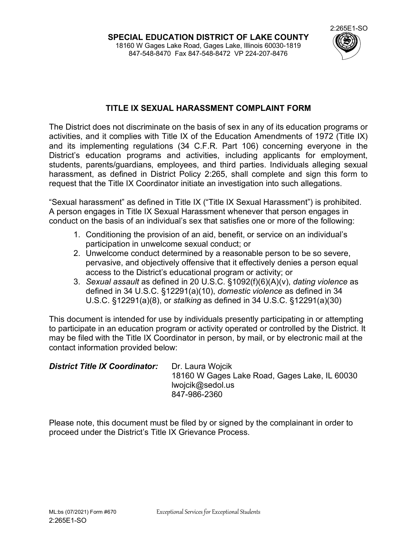

## **TITLE IX SEXUAL HARASSMENT COMPLAINT FORM**

The District does not discriminate on the basis of sex in any of its education programs or activities, and it complies with Title IX of the Education Amendments of 1972 (Title IX) and its implementing regulations (34 C.F.R. Part 106) concerning everyone in the District's education programs and activities, including applicants for employment, students, parents/guardians, employees, and third parties. Individuals alleging sexual harassment, as defined in District Policy 2:265, shall complete and sign this form to request that the Title IX Coordinator initiate an investigation into such allegations.

"Sexual harassment" as defined in Title IX ("Title IX Sexual Harassment") is prohibited. A person engages in Title IX Sexual Harassment whenever that person engages in conduct on the basis of an individual's sex that satisfies one or more of the following:

- 1. Conditioning the provision of an aid, benefit, or service on an individual's participation in unwelcome sexual conduct; or
- 2. Unwelcome conduct determined by a reasonable person to be so severe, pervasive, and objectively offensive that it effectively denies a person equal access to the District's educational program or activity; or
- 3. *Sexual assault* as defined in 20 U.S.C. §1092(f)(6)(A)(v), *dating violence* as defined in 34 U.S.C. §12291(a)(10), *domestic violence* as defined in 34 U.S.C. §12291(a)(8), or *stalking* as defined in 34 U.S.C. §12291(a)(30)

This document is intended for use by individuals presently participating in or attempting to participate in an education program or activity operated or controlled by the District. It may be filed with the Title IX Coordinator in person, by mail, or by electronic mail at the contact information provided below:

| <b>District Title IX Coordinator:</b> | Dr. Laura Wojcik<br>18160 W Gages Lake Road, Gages Lake, IL 60030 |
|---------------------------------------|-------------------------------------------------------------------|
|                                       | lwojcik@sedol.us                                                  |
|                                       | 847-986-2360                                                      |

Please note, this document must be filed by or signed by the complainant in order to proceed under the District's Title IX Grievance Process.